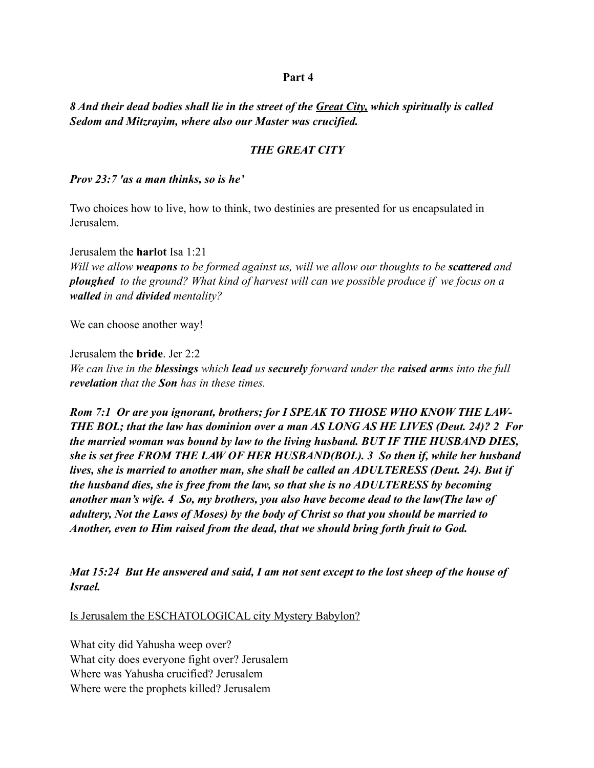## **Part 4**

*8 And their dead bodies shall lie in the street of the Great City, which spiritually is called Sedom and Mitzrayim, where also our Master was crucified.* 

## *THE GREAT CITY*

*Prov 23:7 'as a man thinks, so is he'* 

Two choices how to live, how to think, two destinies are presented for us encapsulated in Jerusalem.

Jerusalem the **harlot** Isa 1:21 *Will we allow weapons to be formed against us, will we allow our thoughts to be scattered and ploughed to the ground? What kind of harvest will can we possible produce if we focus on a walled in and divided mentality?* 

We can choose another way!

Jerusalem the **bride**. Jer 2:2 *We can live in the blessings which lead us securely forward under the raised arms into the full revelation that the Son has in these times.* 

*Rom 7:1 Or are you ignorant, brothers; for I SPEAK TO THOSE WHO KNOW THE LAW-THE BOL; that the law has dominion over a man AS LONG AS HE LIVES (Deut. 24)? 2 For the married woman was bound by law to the living husband. BUT IF THE HUSBAND DIES, she is set free FROM THE LAW OF HER HUSBAND(BOL). 3 So then if, while her husband lives, she is married to another man, she shall be called an ADULTERESS (Deut. 24). But if the husband dies, she is free from the law, so that she is no ADULTERESS by becoming another man's wife. 4 So, my brothers, you also have become dead to the law(The law of adultery, Not the Laws of Moses) by the body of Christ so that you should be married to Another, even to Him raised from the dead, that we should bring forth fruit to God.* 

*Mat 15:24 But He answered and said, I am not sent except to the lost sheep of the house of Israel.* 

Is Jerusalem the ESCHATOLOGICAL city Mystery Babylon?

What city did Yahusha weep over? What city does everyone fight over? Jerusalem Where was Yahusha crucified? Jerusalem Where were the prophets killed? Jerusalem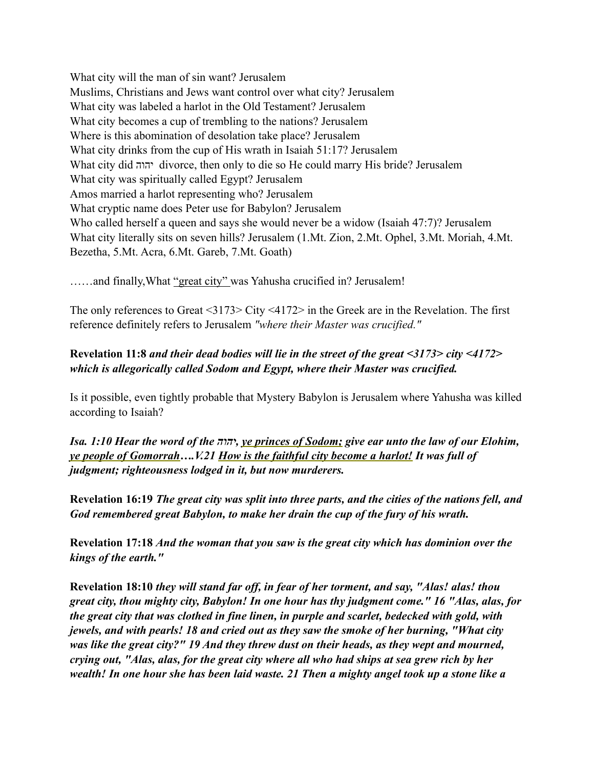What city will the man of sin want? Jerusalem Muslims, Christians and Jews want control over what city? Jerusalem What city was labeled a harlot in the Old Testament? Jerusalem What city becomes a cup of trembling to the nations? Jerusalem Where is this abomination of desolation take place? Jerusalem What city drinks from the cup of His wrath in Isaiah 51:17? Jerusalem What city did יהוה divorce, then only to die so He could marry His bride? Jerusalem What city was spiritually called Egypt? Jerusalem Amos married a harlot representing who? Jerusalem What cryptic name does Peter use for Babylon? Jerusalem Who called herself a queen and says she would never be a widow (Isaiah 47:7)? Jerusalem What city literally sits on seven hills? Jerusalem (1.Mt. Zion, 2.Mt. Ophel, 3.Mt. Moriah, 4.Mt. Bezetha, 5.Mt. Acra, 6.Mt. Gareb, 7.Mt. Goath)

......and finally, What "great city" was Yahusha crucified in? Jerusalem!

The only references to Great <3173> City <4172> in the Greek are in the Revelation. The first reference definitely refers to Jerusalem *"where their Master was crucified."* 

## **Revelation 11:8** *and their dead bodies will lie in the street of the great <3173> city <4172> which is allegorically called Sodom and Egypt, where their Master was crucified.*

Is it possible, even tightly probable that Mystery Babylon is Jerusalem where Yahusha was killed according to Isaiah?

*Isa. 1:10 Hear the word of the יהוה, ye princes of Sodom; give ear unto the law of our Elohim, ye people of Gomorrah….V.21 How is the faithful city become a harlot! It was full of judgment; righteousness lodged in it, but now murderers.* 

**Revelation 16:19** *The great city was split into three parts, and the cities of the nations fell, and God remembered great Babylon, to make her drain the cup of the fury of his wrath.*

**Revelation 17:18** *And the woman that you saw is the great city which has dominion over the kings of the earth."*

**Revelation 18:10** *they will stand far off, in fear of her torment, and say, "Alas! alas! thou great city, thou mighty city, Babylon! In one hour has thy judgment come." 16 "Alas, alas, for the great city that was clothed in fine linen, in purple and scarlet, bedecked with gold, with jewels, and with pearls! 18 and cried out as they saw the smoke of her burning, "What city was like the great city?" 19 And they threw dust on their heads, as they wept and mourned, crying out, "Alas, alas, for the great city where all who had ships at sea grew rich by her wealth! In one hour she has been laid waste. 21 Then a mighty angel took up a stone like a*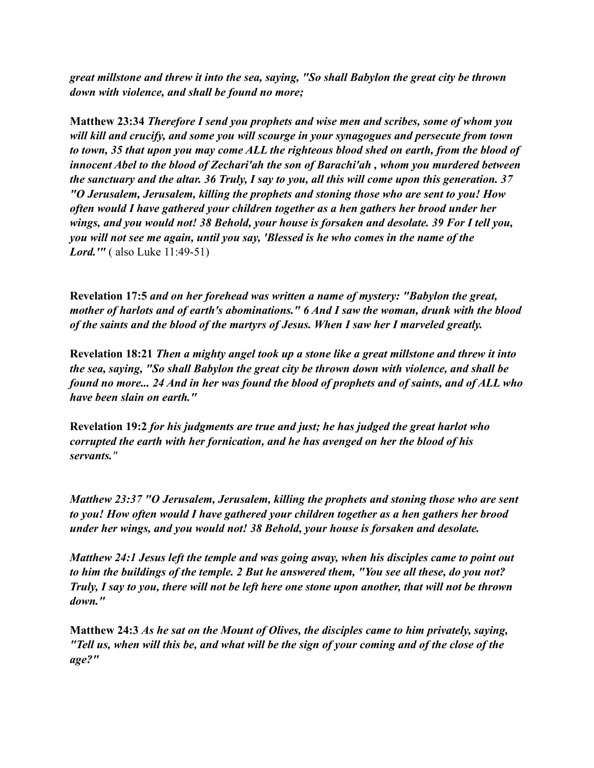*great millstone and threw it into the sea, saying, "So shall Babylon the great city be thrown down with violence, and shall be found no more;*

**Matthew 23:34** *Therefore I send you prophets and wise men and scribes, some of whom you will kill and crucify, and some you will scourge in your synagogues and persecute from town to town, 35 that upon you may come ALL the righteous blood shed on earth, from the blood of innocent Abel to the blood of Zechari'ah the son of Barachi'ah , whom you murdered between the sanctuary and the altar. 36 Truly, I say to you, all this will come upon this generation. 37 "O Jerusalem, Jerusalem, killing the prophets and stoning those who are sent to you! How often would I have gathered your children together as a hen gathers her brood under her wings, and you would not! 38 Behold, your house is forsaken and desolate. 39 For I tell you, you will not see me again, until you say, 'Blessed is he who comes in the name of the Lord.'"* ( also Luke 11:49-51)

**Revelation 17:5** *and on her forehead was written a name of mystery: "Babylon the great, mother of harlots and of earth's abominations." 6 And I saw the woman, drunk with the blood of the saints and the blood of the martyrs of Jesus. When I saw her I marveled greatly.*

**Revelation 18:21** *Then a mighty angel took up a stone like a great millstone and threw it into the sea, saying, "So shall Babylon the great city be thrown down with violence, and shall be found no more... 24 And in her was found the blood of prophets and of saints, and of ALL who have been slain on earth."*

**Revelation 19:2** *for his judgments are true and just; he has judged the great harlot who corrupted the earth with her fornication, and he has avenged on her the blood of his servants."*

*Matthew 23:37 "O Jerusalem, Jerusalem, killing the prophets and stoning those who are sent to you! How often would I have gathered your children together as a hen gathers her brood under her wings, and you would not! 38 Behold, your house is forsaken and desolate.* 

*Matthew 24:1 Jesus left the temple and was going away, when his disciples came to point out to him the buildings of the temple. 2 But he answered them, "You see all these, do you not? Truly, I say to you, there will not be left here one stone upon another, that will not be thrown down."* 

**Matthew 24:3** *As he sat on the Mount of Olives, the disciples came to him privately, saying, "Tell us, when will this be, and what will be the sign of your coming and of the close of the age?"*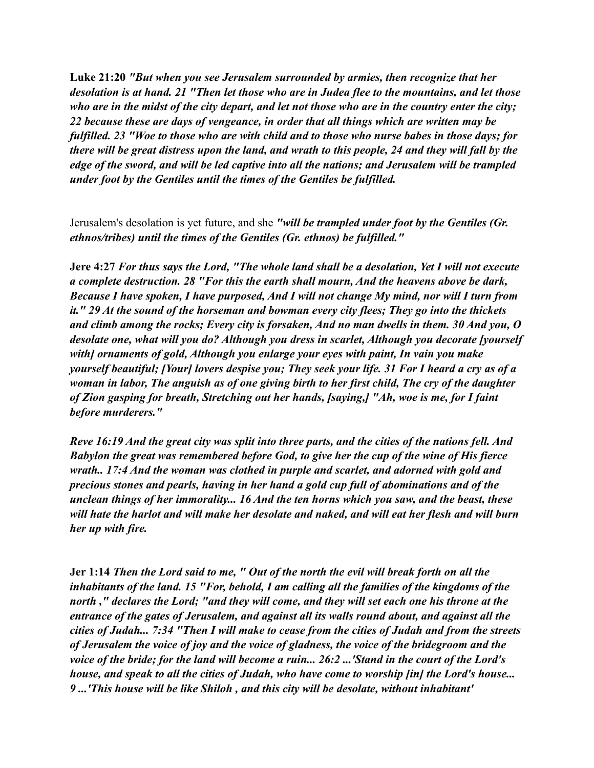**Luke 21:20** *"But when you see Jerusalem surrounded by armies, then recognize that her desolation is at hand. 21 "Then let those who are in Judea flee to the mountains, and let those who are in the midst of the city depart, and let not those who are in the country enter the city; 22 because these are days of vengeance, in order that all things which are written may be fulfilled. 23 "Woe to those who are with child and to those who nurse babes in those days; for there will be great distress upon the land, and wrath to this people, 24 and they will fall by the edge of the sword, and will be led captive into all the nations; and Jerusalem will be trampled under foot by the Gentiles until the times of the Gentiles be fulfilled.* 

Jerusalem's desolation is yet future, and she *"will be trampled under foot by the Gentiles (Gr. ethnos/tribes) until the times of the Gentiles (Gr. ethnos) be fulfilled."* 

**Jere 4:27** *For thus says the Lord, "The whole land shall be a desolation, Yet I will not execute a complete destruction. 28 "For this the earth shall mourn, And the heavens above be dark, Because I have spoken, I have purposed, And I will not change My mind, nor will I turn from it." 29 At the sound of the horseman and bowman every city flees; They go into the thickets and climb among the rocks; Every city is forsaken, And no man dwells in them. 30 And you, O desolate one, what will you do? Although you dress in scarlet, Although you decorate [yourself with] ornaments of gold, Although you enlarge your eyes with paint, In vain you make yourself beautiful; [Your] lovers despise you; They seek your life. 31 For I heard a cry as of a woman in labor, The anguish as of one giving birth to her first child, The cry of the daughter of Zion gasping for breath, Stretching out her hands, [saying,] "Ah, woe is me, for I faint before murderers."* 

*Reve 16:19 And the great city was split into three parts, and the cities of the nations fell. And Babylon the great was remembered before God, to give her the cup of the wine of His fierce wrath.. 17:4 And the woman was clothed in purple and scarlet, and adorned with gold and precious stones and pearls, having in her hand a gold cup full of abominations and of the unclean things of her immorality... 16 And the ten horns which you saw, and the beast, these will hate the harlot and will make her desolate and naked, and will eat her flesh and will burn her up with fire.* 

**Jer 1:14** *Then the Lord said to me, " Out of the north the evil will break forth on all the inhabitants of the land. 15 "For, behold, I am calling all the families of the kingdoms of the north ," declares the Lord; "and they will come, and they will set each one his throne at the entrance of the gates of Jerusalem, and against all its walls round about, and against all the cities of Judah... 7:34 "Then I will make to cease from the cities of Judah and from the streets of Jerusalem the voice of joy and the voice of gladness, the voice of the bridegroom and the voice of the bride; for the land will become a ruin... 26:2 ...'Stand in the court of the Lord's house, and speak to all the cities of Judah, who have come to worship [in] the Lord's house... 9 ...'This house will be like Shiloh , and this city will be desolate, without inhabitant'*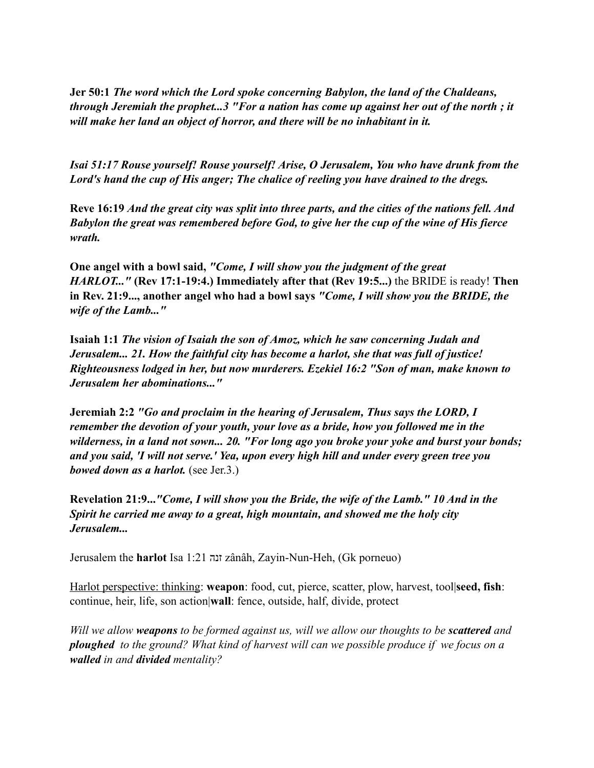**Jer 50:1** *The word which the Lord spoke concerning Babylon, the land of the Chaldeans, through Jeremiah the prophet...3 "For a nation has come up against her out of the north ; it will make her land an object of horror, and there will be no inhabitant in it.*

*Isai 51:17 Rouse yourself! Rouse yourself! Arise, O Jerusalem, You who have drunk from the Lord's hand the cup of His anger; The chalice of reeling you have drained to the dregs.* 

**Reve 16:19** *And the great city was split into three parts, and the cities of the nations fell. And Babylon the great was remembered before God, to give her the cup of the wine of His fierce wrath.*

**One angel with a bowl said,** *"Come, I will show you the judgment of the great HARLOT..."* **(Rev 17:1-19:4.) Immediately after that (Rev 19:5...)** the BRIDE is ready! **Then in Rev. 21:9..., another angel who had a bowl says** *"Come, I will show you the BRIDE, the wife of the Lamb..."*

**Isaiah 1:1** *The vision of Isaiah the son of Amoz, which he saw concerning Judah and Jerusalem... 21. How the faithful city has become a harlot, she that was full of justice! Righteousness lodged in her, but now murderers. Ezekiel 16:2 "Son of man, make known to Jerusalem her abominations..."*

**Jeremiah 2:2** *"Go and proclaim in the hearing of Jerusalem, Thus says the LORD, I remember the devotion of your youth, your love as a bride, how you followed me in the wilderness, in a land not sown... 20. "For long ago you broke your yoke and burst your bonds; and you said, 'I will not serve.' Yea, upon every high hill and under every green tree you bowed down as a harlot.* (see Jer.3.)

**Revelation 21:9...***"Come, I will show you the Bride, the wife of the Lamb." 10 And in the Spirit he carried me away to a great, high mountain, and showed me the holy city Jerusalem...* 

Jerusalem the **harlot** Isa 1:21 זנה zânâh, Zayin-Nun-Heh, (Gk porneuo)

Harlot perspective: thinking: **weapon**: food, cut, pierce, scatter, plow, harvest, tool|**seed, fish**: continue, heir, life, son action|**wall**: fence, outside, half, divide, protect

*Will we allow weapons to be formed against us, will we allow our thoughts to be scattered and ploughed to the ground? What kind of harvest will can we possible produce if we focus on a walled in and divided mentality?*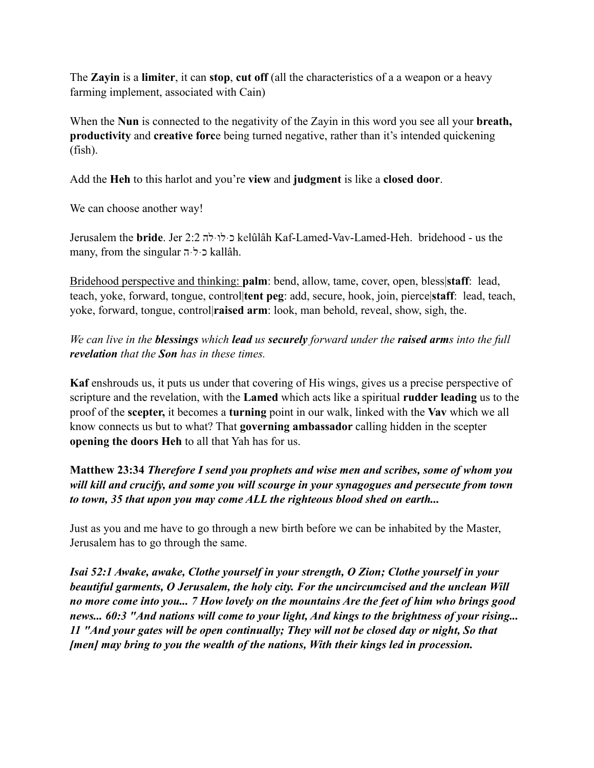The **Zayin** is a **limiter**, it can **stop**, **cut off** (all the characteristics of a a weapon or a heavy farming implement, associated with Cain)

When the **Nun** is connected to the negativity of the Zayin in this word you see all your **breath, productivity** and **creative forc**e being turned negative, rather than it's intended quickening (fish).

Add the **Heh** to this harlot and you're **view** and **judgment** is like a **closed door**.

We can choose another way!

Jerusalem the **bride**. Jer 2:2 להּלוּכ kelûlâh Kaf-Lamed-Vav-Lamed-Heh. bridehood - us the many, from the singular הּלּכ kallâh.

Bridehood perspective and thinking: **palm**: bend, allow, tame, cover, open, bless|**staff**: lead, teach, yoke, forward, tongue, control|**tent peg**: add, secure, hook, join, pierce|**staff**: lead, teach, yoke, forward, tongue, control|**raised arm**: look, man behold, reveal, show, sigh, the.

*We can live in the blessings which lead us securely forward under the raised arms into the full revelation that the Son has in these times.* 

**Kaf** enshrouds us, it puts us under that covering of His wings, gives us a precise perspective of scripture and the revelation, with the **Lamed** which acts like a spiritual **rudder leading** us to the proof of the **scepter,** it becomes a **turning** point in our walk, linked with the **Vav** which we all know connects us but to what? That **governing ambassador** calling hidden in the scepter **opening the doors Heh** to all that Yah has for us.

**Matthew 23:34** *Therefore I send you prophets and wise men and scribes, some of whom you will kill and crucify, and some you will scourge in your synagogues and persecute from town to town, 35 that upon you may come ALL the righteous blood shed on earth...* 

Just as you and me have to go through a new birth before we can be inhabited by the Master, Jerusalem has to go through the same.

*Isai 52:1 Awake, awake, Clothe yourself in your strength, O Zion; Clothe yourself in your beautiful garments, O Jerusalem, the holy city. For the uncircumcised and the unclean Will no more come into you... 7 How lovely on the mountains Are the feet of him who brings good news... 60:3 "And nations will come to your light, And kings to the brightness of your rising... 11 "And your gates will be open continually; They will not be closed day or night, So that [men] may bring to you the wealth of the nations, With their kings led in procession.*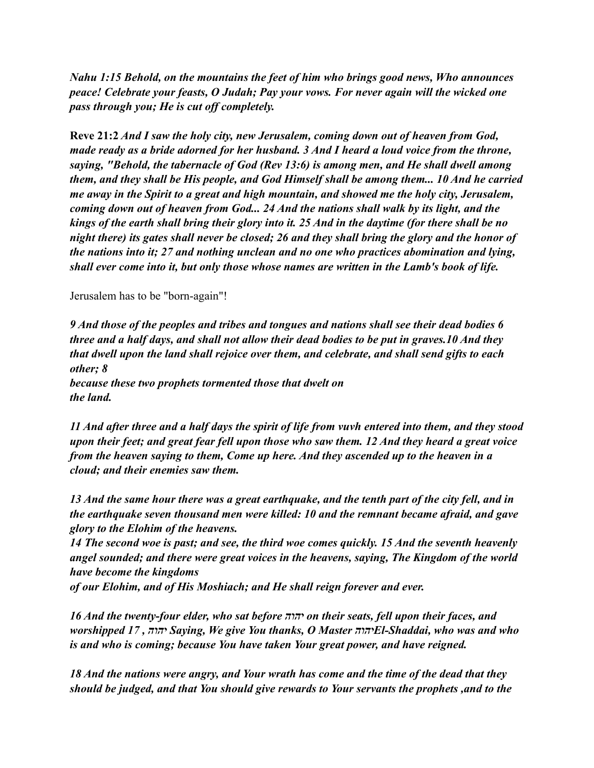*Nahu 1:15 Behold, on the mountains the feet of him who brings good news, Who announces peace! Celebrate your feasts, O Judah; Pay your vows. For never again will the wicked one pass through you; He is cut off completely.* 

**Reve 21:2** *And I saw the holy city, new Jerusalem, coming down out of heaven from God, made ready as a bride adorned for her husband. 3 And I heard a loud voice from the throne, saying, "Behold, the tabernacle of God (Rev 13:6) is among men, and He shall dwell among them, and they shall be His people, and God Himself shall be among them... 10 And he carried me away in the Spirit to a great and high mountain, and showed me the holy city, Jerusalem, coming down out of heaven from God... 24 And the nations shall walk by its light, and the kings of the earth shall bring their glory into it. 25 And in the daytime (for there shall be no night there) its gates shall never be closed; 26 and they shall bring the glory and the honor of the nations into it; 27 and nothing unclean and no one who practices abomination and lying, shall ever come into it, but only those whose names are written in the Lamb's book of life.* 

## Jerusalem has to be "born-again"!

*9 And those of the peoples and tribes and tongues and nations shall see their dead bodies 6 three and a half days, and shall not allow their dead bodies to be put in graves.10 And they that dwell upon the land shall rejoice over them, and celebrate, and shall send gifts to each other; 8 because these two prophets tormented those that dwelt on the land.* 

*11 And after three and a half days the spirit of life from vuvh entered into them, and they stood upon their feet; and great fear fell upon those who saw them. 12 And they heard a great voice from the heaven saying to them, Come up here. And they ascended up to the heaven in a cloud; and their enemies saw them.* 

*13 And the same hour there was a great earthquake, and the tenth part of the city fell, and in the earthquake seven thousand men were killed: 10 and the remnant became afraid, and gave glory to the Elohim of the heavens.* 

*14 The second woe is past; and see, the third woe comes quickly. 15 And the seventh heavenly angel sounded; and there were great voices in the heavens, saying, The Kingdom of the world have become the kingdoms* 

*of our Elohim, and of His Moshiach; and He shall reign forever and ever.* 

*16 And the twenty-four elder, who sat before יהוה on their seats, fell upon their faces, and worshipped 17 , יהוה Saying, We give You thanks, O Master יהוהEl-Shaddai, who was and who is and who is coming; because You have taken Your great power, and have reigned.* 

*18 And the nations were angry, and Your wrath has come and the time of the dead that they should be judged, and that You should give rewards to Your servants the prophets ,and to the*